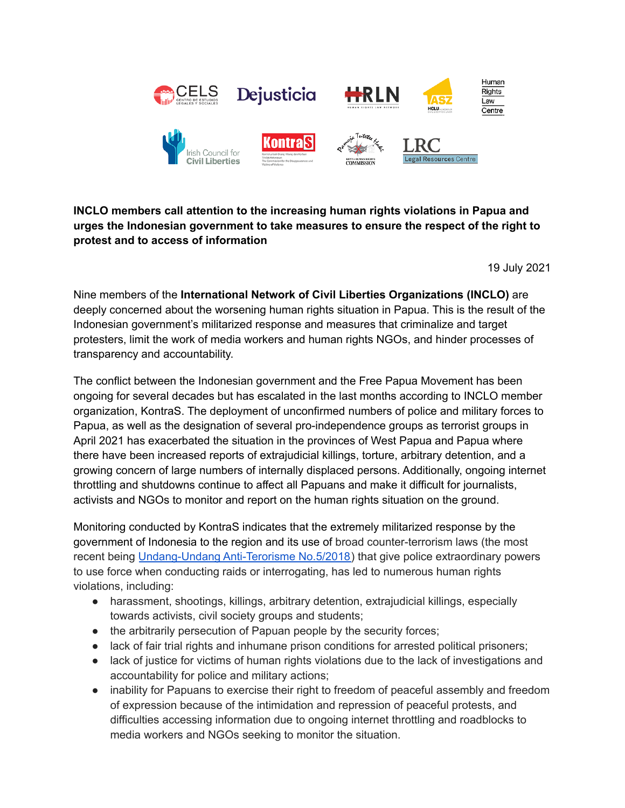

## **INCLO members call attention to the increasing human rights violations in Papua and urges the Indonesian government to take measures to ensure the respect of the right to protest and to access of information**

19 July 2021

Nine members of the **International Network of Civil Liberties Organizations (INCLO)** are deeply concerned about the worsening human rights situation in Papua. This is the result of the Indonesian government's militarized response and measures that criminalize and target protesters, limit the work of media workers and human rights NGOs, and hinder processes of transparency and accountability.

The conflict between the Indonesian government and the Free Papua Movement has been ongoing for several decades but has escalated in the last months according to INCLO member organization, KontraS. The deployment of unconfirmed numbers of police and military forces to Papua, as well as the designation of several pro-independence groups as terrorist groups in April 2021 has exacerbated the situation in the provinces of West Papua and Papua where there have been increased reports of extrajudicial killings, torture, arbitrary detention, and a growing concern of large numbers of internally displaced persons. Additionally, ongoing internet throttling and shutdowns continue to affect all Papuans and make it difficult for journalists, activists and NGOs to monitor and report on the human rights situation on the ground.

Monitoring conducted by KontraS indicates that the extremely militarized response by the government of Indonesia to the region and its use of broad counter-terrorism laws (the most recent being [Undang-Undang](https://peraturan.bpk.go.id/Home/Details/82689/uu-no-5-tahun-2018) Anti-Terorisme No.5/2018) that give police extraordinary powers to use force when conducting raids or interrogating, has led to numerous human rights violations, including:

- harassment, shootings, killings, arbitrary detention, extrajudicial killings, especially towards activists, civil society groups and students;
- the arbitrarily persecution of Papuan people by the security forces;
- lack of fair trial rights and inhumane prison conditions for arrested political prisoners;
- lack of justice for victims of human rights violations due to the lack of investigations and accountability for police and military actions;
- inability for Papuans to exercise their right to freedom of peaceful assembly and freedom of expression because of the intimidation and repression of peaceful protests, and difficulties accessing information due to ongoing internet throttling and roadblocks to media workers and NGOs seeking to monitor the situation.